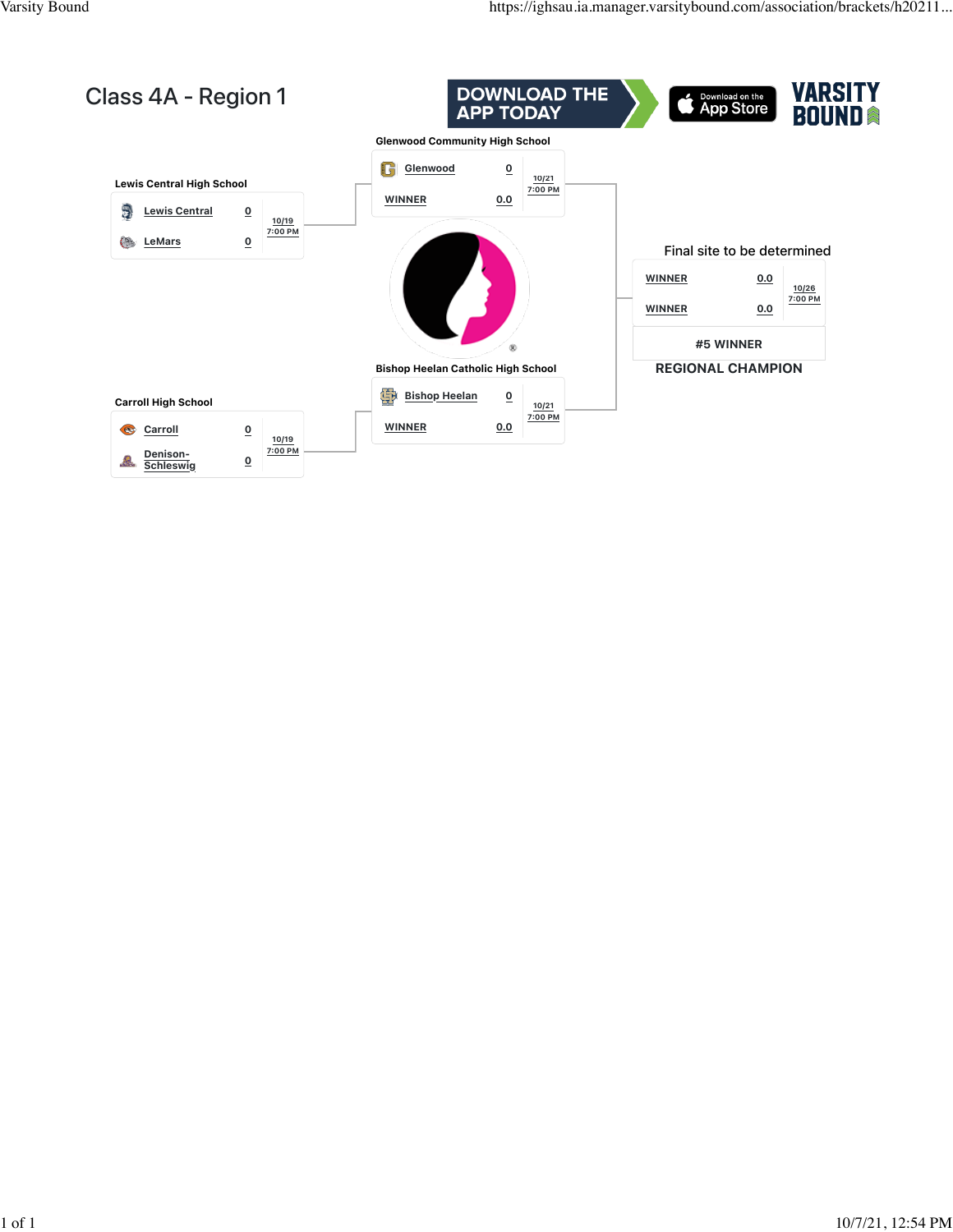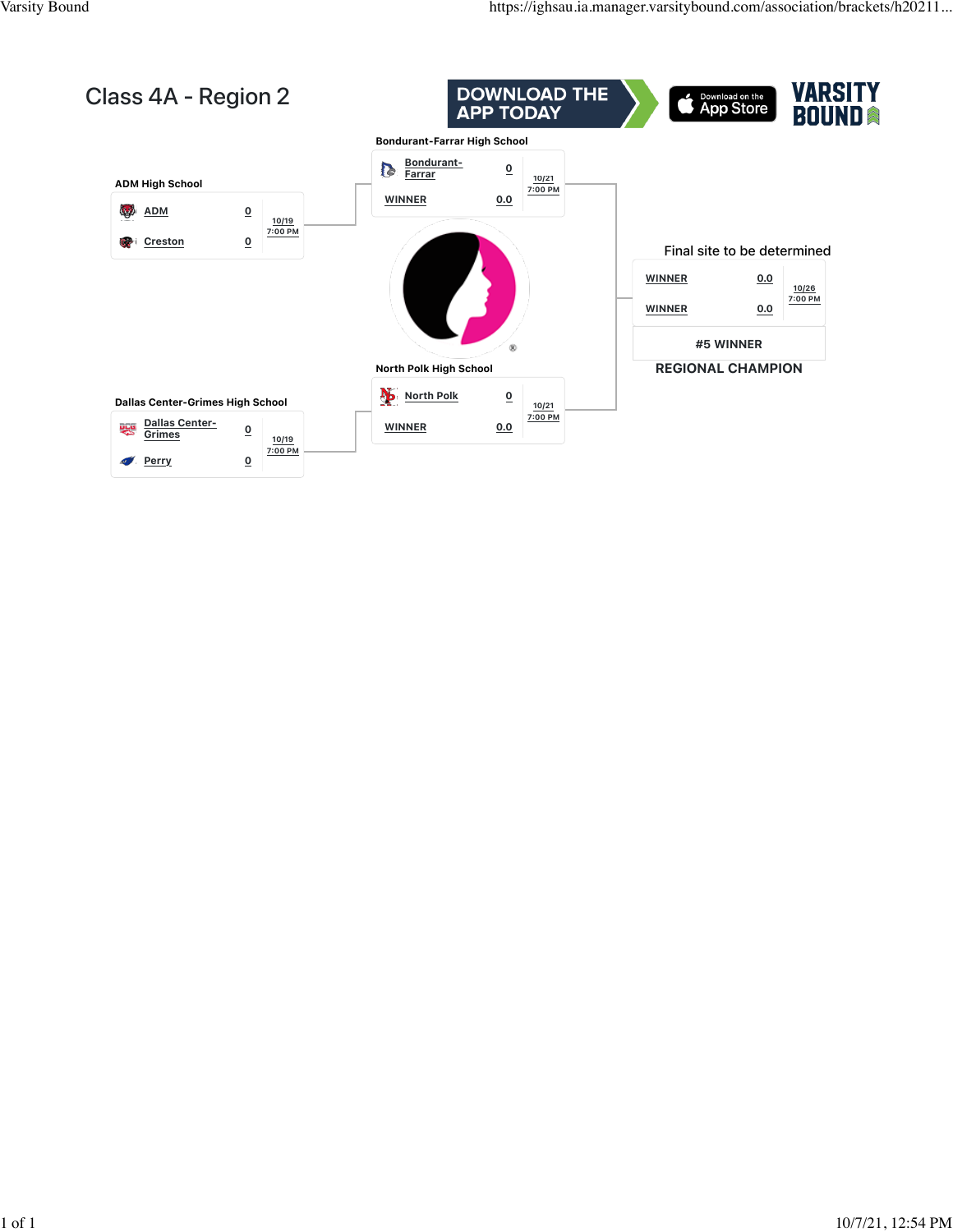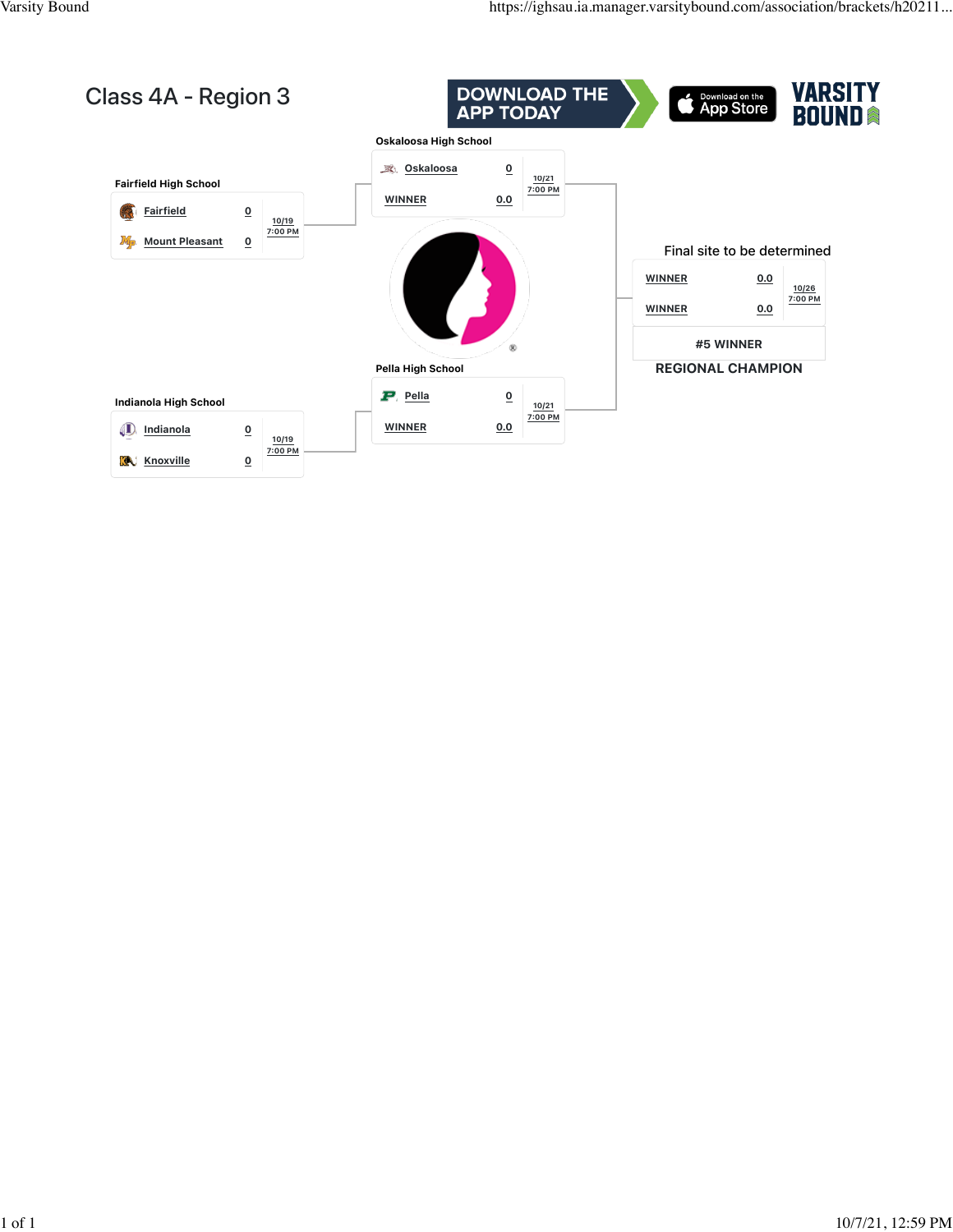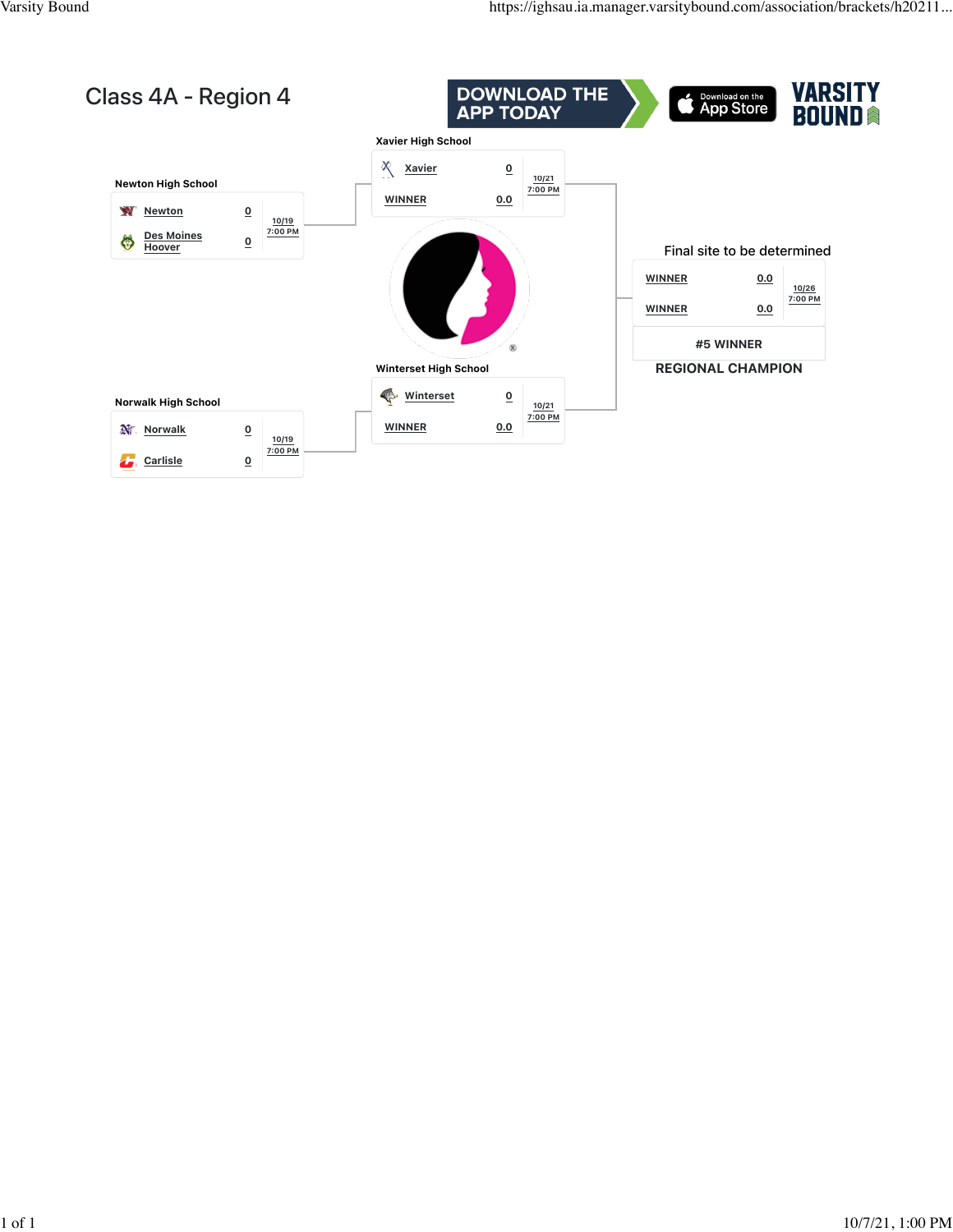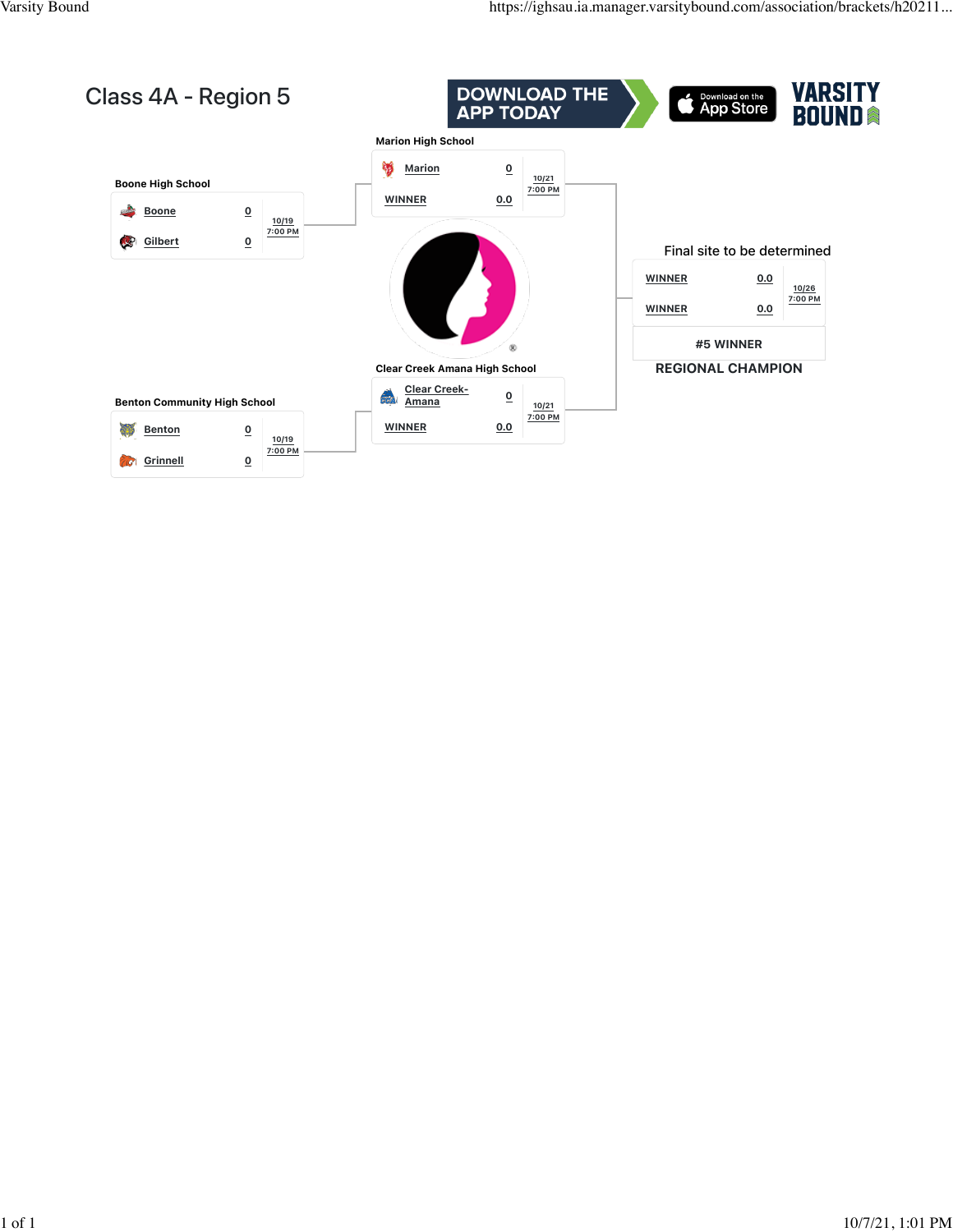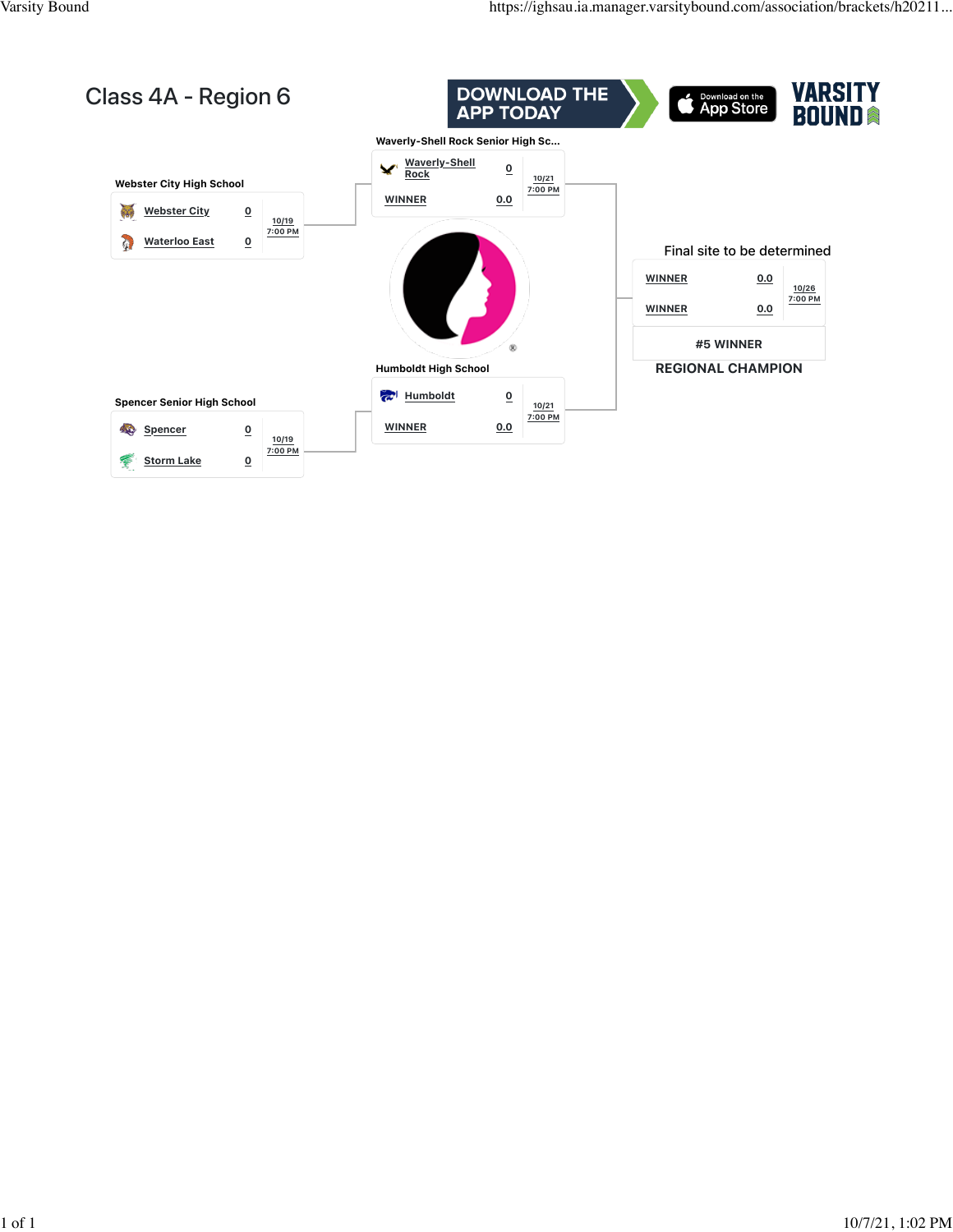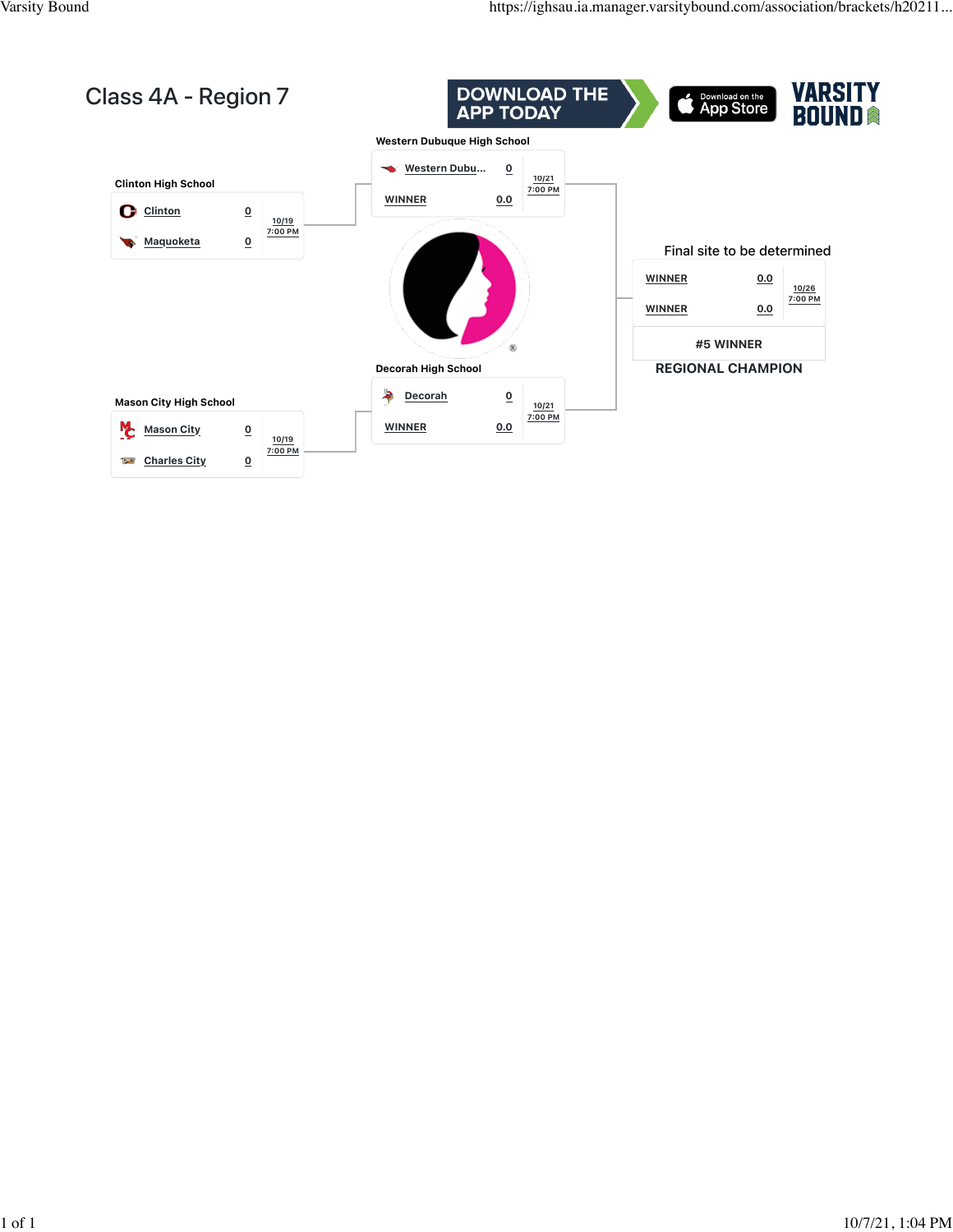